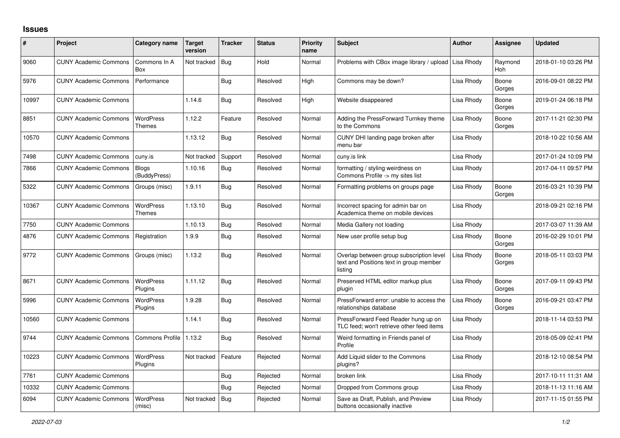## **Issues**

| ∦     | Project                      | Category name                     | Target<br>version | <b>Tracker</b> | <b>Status</b> | <b>Priority</b><br>name | <b>Subject</b>                                                                                 | <b>Author</b> | <b>Assignee</b> | <b>Updated</b>      |
|-------|------------------------------|-----------------------------------|-------------------|----------------|---------------|-------------------------|------------------------------------------------------------------------------------------------|---------------|-----------------|---------------------|
| 9060  | <b>CUNY Academic Commons</b> | Commons In A<br><b>Box</b>        | Not tracked       | Bug            | Hold          | Normal                  | Problems with CBox image library / upload                                                      | Lisa Rhody    | Raymond<br>Hoh  | 2018-01-10 03:26 PM |
| 5976  | <b>CUNY Academic Commons</b> | Performance                       |                   | Bug            | Resolved      | High                    | Commons may be down?                                                                           | Lisa Rhody    | Boone<br>Gorges | 2016-09-01 08:22 PM |
| 10997 | <b>CUNY Academic Commons</b> |                                   | 1.14.6            | Bug            | Resolved      | High                    | Website disappeared                                                                            | Lisa Rhody    | Boone<br>Gorges | 2019-01-24 06:18 PM |
| 8851  | <b>CUNY Academic Commons</b> | <b>WordPress</b><br><b>Themes</b> | 1.12.2            | Feature        | Resolved      | Normal                  | Adding the PressForward Turnkey theme<br>to the Commons                                        | Lisa Rhody    | Boone<br>Gorges | 2017-11-21 02:30 PM |
| 10570 | <b>CUNY Academic Commons</b> |                                   | 1.13.12           | Bug            | Resolved      | Normal                  | CUNY DHI landing page broken after<br>menu bar                                                 | Lisa Rhody    |                 | 2018-10-22 10:56 AM |
| 7498  | <b>CUNY Academic Commons</b> | cuny.is                           | Not tracked       | Support        | Resolved      | Normal                  | cuny.is link                                                                                   | Lisa Rhody    |                 | 2017-01-24 10:09 PM |
| 7866  | <b>CUNY Academic Commons</b> | Blogs<br>(BuddyPress)             | 1.10.16           | <b>Bug</b>     | Resolved      | Normal                  | formatting / styling weirdness on<br>Commons Profile -> my sites list                          | Lisa Rhody    |                 | 2017-04-11 09:57 PM |
| 5322  | <b>CUNY Academic Commons</b> | Groups (misc)                     | 1.9.11            | Bug            | Resolved      | Normal                  | Formatting problems on groups page                                                             | Lisa Rhody    | Boone<br>Gorges | 2016-03-21 10:39 PM |
| 10367 | <b>CUNY Academic Commons</b> | <b>WordPress</b><br><b>Themes</b> | 1.13.10           | Bug            | Resolved      | Normal                  | Incorrect spacing for admin bar on<br>Academica theme on mobile devices                        | Lisa Rhody    |                 | 2018-09-21 02:16 PM |
| 7750  | <b>CUNY Academic Commons</b> |                                   | 1.10.13           | Bug            | Resolved      | Normal                  | Media Gallery not loading                                                                      | Lisa Rhody    |                 | 2017-03-07 11:39 AM |
| 4876  | <b>CUNY Academic Commons</b> | Registration                      | 1.9.9             | Bug            | Resolved      | Normal                  | New user profile setup bug                                                                     | Lisa Rhody    | Boone<br>Gorges | 2016-02-29 10:01 PM |
| 9772  | <b>CUNY Academic Commons</b> | Groups (misc)                     | 1.13.2            | Bug            | Resolved      | Normal                  | Overlap between group subscription level<br>text and Positions text in group member<br>listing | Lisa Rhody    | Boone<br>Gorges | 2018-05-11 03:03 PM |
| 8671  | <b>CUNY Academic Commons</b> | <b>WordPress</b><br>Plugins       | 1.11.12           | Bug            | Resolved      | Normal                  | Preserved HTML editor markup plus<br>plugin                                                    | Lisa Rhody    | Boone<br>Gorges | 2017-09-11 09:43 PM |
| 5996  | <b>CUNY Academic Commons</b> | WordPress<br>Plugins              | 1.9.28            | Bug            | Resolved      | Normal                  | PressForward error: unable to access the<br>relationships database                             | Lisa Rhody    | Boone<br>Gorges | 2016-09-21 03:47 PM |
| 10560 | <b>CUNY Academic Commons</b> |                                   | 1.14.1            | Bug            | Resolved      | Normal                  | PressForward Feed Reader hung up on<br>TLC feed; won't retrieve other feed items               | Lisa Rhody    |                 | 2018-11-14 03:53 PM |
| 9744  | <b>CUNY Academic Commons</b> | <b>Commons Profile</b>            | 1.13.2            | <b>Bug</b>     | Resolved      | Normal                  | Weird formatting in Friends panel of<br>Profile                                                | Lisa Rhody    |                 | 2018-05-09 02:41 PM |
| 10223 | <b>CUNY Academic Commons</b> | <b>WordPress</b><br>Plugins       | Not tracked       | Feature        | Rejected      | Normal                  | Add Liquid slider to the Commons<br>plugins?                                                   | Lisa Rhody    |                 | 2018-12-10 08:54 PM |
| 7761  | <b>CUNY Academic Commons</b> |                                   |                   | Bug            | Rejected      | Normal                  | broken link                                                                                    | Lisa Rhody    |                 | 2017-10-11 11:31 AM |
| 10332 | <b>CUNY Academic Commons</b> |                                   |                   | Bug            | Rejected      | Normal                  | Dropped from Commons group                                                                     | Lisa Rhody    |                 | 2018-11-13 11:16 AM |
| 6094  | <b>CUNY Academic Commons</b> | <b>WordPress</b><br>(misc)        | Not tracked       | Bug            | Rejected      | Normal                  | Save as Draft, Publish, and Preview<br>buttons occasionally inactive                           | Lisa Rhody    |                 | 2017-11-15 01:55 PM |